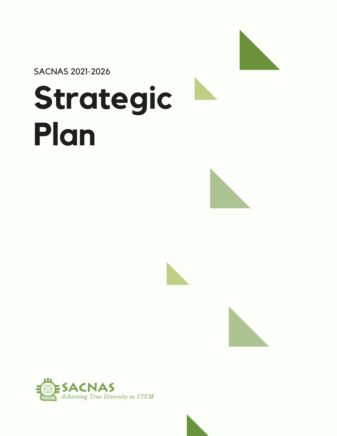

SACNAS 2021-2026

# **Strategic Plan**







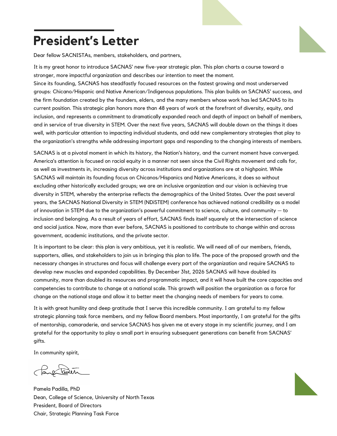### **President's Letter**

Dear fellow SACNISTAs, members, stakeholders, and partners,

It is my great honor to introduce SACNAS' new five-year strategic plan. This plan charts a course toward a stronger, more impactful organization and describes our intention to meet the moment.

Since its founding, SACNAS has steadfastly focused resources on the fastest growing and most underserved groups: Chicano/Hispanic and Native American/Indigenous populations. This plan builds on SACNAS' success, and the firm foundation created by the founders, elders, and the many members whose work has led SACNAS to its current position. This strategic plan honors more than 48 years of work at the forefront of diversity, equity, and inclusion, and represents a commitment to dramatically expanded reach and depth of impact on behalf of members, and in service of true diversity in STEM. Over the next five years, SACNAS will double down on the things it does well, with particular attention to impacting individual students, and add new complementary strategies that play to the organization's strengths while addressing important gaps and responding to the changing interests of members.

SACNAS is at a pivotal moment in which its history, the Nation's history, and the current moment have converged. America's attention is focused on racial equity in a manner not seen since the Civil Rights movement and calls for, as well as investments in, increasing diversity across institutions and organizations are at a highpoint. While SACNAS will maintain its founding focus on Chicanos/Hispanics and Native Americans, it does so without excluding other historically excluded groups; we are an inclusive organization and our vision is achieving true diversity in STEM, whereby the enterprise reflects the demographics of the United States. Over the past several years, the SACNAS National Diversity in STEM (NDiSTEM) conference has achieved national credibility as a model of innovation in STEM due to the organization's powerful commitment to science, culture, and community — to inclusion and belonging. As a result of years of effort, SACNAS finds itself squarely at the intersection of science and social justice. Now, more than ever before, SACNAS is positioned to contribute to change within and across government, academic institutions, and the private sector.

It is important to be clear: this plan is very ambitious, yet it is realistic. We will need all of our members, friends, supporters, allies, and stakeholders to join us in bringing this plan to life. The pace of the proposed growth and the necessary changes in structures and focus will challenge every part of the organization and require SACNAS to develop new muscles and expanded capabilities. By December 31st, 2026 SACNAS will have doubled its community, more than doubled its resources and programmatic impact, and it will have built the core capacities and competencies to contribute to change at a national scale. This growth will position the organization as a force for change on the national stage and allow it to better meet the changing needs of members for years to come.

It is with great humility and deep gratitude that I serve this incredible community. I am grateful to my fellow strategic planning task force members, and my fellow Board members. Most importantly, I am grateful for the gifts of mentorship, camaraderie, and service SACNAS has given me at every stage in my scientific journey, and I am grateful for the opportunity to play a small part in ensuring subsequent generations can benefit from SACNAS' gifts.

In community spirit,

Pare Text

Pamela Padilla, PhD Dean, College of Science, University of North Texas President, Board of Directors Chair, Strategic Planning Task Force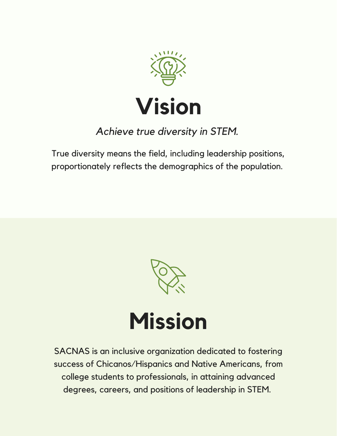

### *Achieve true diversity in STEM.*

True diversity means the field, including leadership positions, proportionately reflects the demographics of the population.



## **Mission**

SACNAS is an inclusive organization dedicated to fostering success of Chicanos/Hispanics and Native Americans, from college students to professionals, in attaining advanced degrees, careers, and positions of leadership in STEM.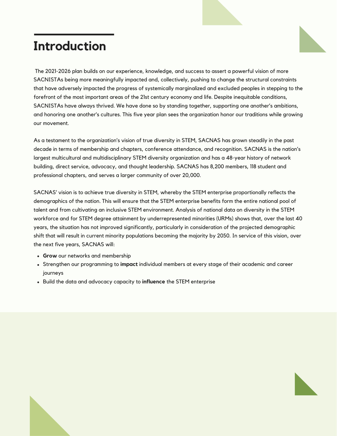### **Introduction**

The 2021-2026 plan builds on our experience, knowledge, and success to assert a powerful vision of more SACNISTAs being more meaningfully impacted and, collectively, pushing to change the structural constraints that have adversely impacted the progress of systemically marginalized and excluded peoples in stepping to the forefront of the most important areas of the 21st century economy and life. Despite inequitable conditions, SACNISTAs have always thrived. We have done so by standing together, supporting one another's ambitions, and honoring one another's cultures. This five year plan sees the organization honor our traditions while growing our movement.

As a testament to the organization's vision of true diversity in STEM, SACNAS has grown steadily in the past decade in terms of membership and chapters, conference attendance, and recognition. SACNAS is the nation's largest multicultural and multidisciplinary STEM diversity organization and has a 48-year history of network building, direct service, advocacy, and thought leadership. SACNAS has 8,200 members, 118 student and professional chapters, and serves a larger community of over 20,000.

SACNAS' vision is to achieve true diversity in STEM, whereby the STEM enterprise proportionally reflects the demographics of the nation. This will ensure that the STEM enterprise benefits form the entire national pool of talent and from cultivating an inclusive STEM environment. Analysis of national data on diversity in the STEM workforce and for STEM degree attainment by underrepresented minorities (URMs) shows that, over the last 40 years, the situation has not improved significantly, particularly in consideration of the projected demographic shift that will result in current minority populations becoming the majority by 2050. In service of this vision, over the next five years, SACNAS will:

- **Grow** our networks and membership
- Strengthen our programming to **impact** individual members at every stage of their academic and career journeys
- Build the data and advocacy capacity to **influence** the STEM enterprise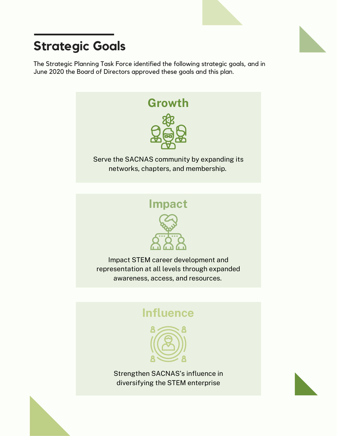### **Strategic Goals**

The Strategic Planning Task Force identified the following strategic goals, and in June 2020 the Board of Directors approved these goals and this plan.





Impact STEM career development and representation at all levels through expanded awareness, access, and resources.

### **Influence**



Strengthen SACNAS's influence in diversifying the STEM enterprise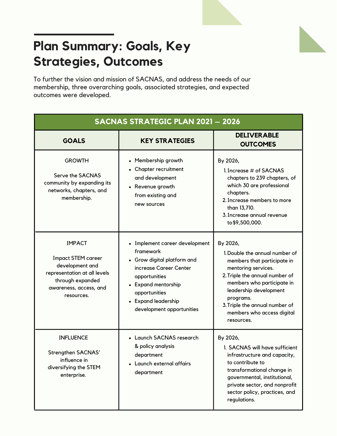### **Plan Summary: Goals, Key Strategies, Outcomes**

To further the vision and mission of SACNAS, and address the needs of our membership, three overarching goals, associated strategies, and expected outcomes were developed.

| <b>SACNAS STRATEGIC PLAN 2021 - 2026</b>                                                                                                                  |                                                                                                                                                                                                                   |                                                                                                                                                                                                                                                                                       |
|-----------------------------------------------------------------------------------------------------------------------------------------------------------|-------------------------------------------------------------------------------------------------------------------------------------------------------------------------------------------------------------------|---------------------------------------------------------------------------------------------------------------------------------------------------------------------------------------------------------------------------------------------------------------------------------------|
| <b>GOALS</b>                                                                                                                                              | <b>KEY STRATEGIES</b>                                                                                                                                                                                             | <b>DELIVERABLE</b><br><b>OUTCOMES</b>                                                                                                                                                                                                                                                 |
| <b>GROWTH</b><br>Serve the SACNAS<br>community by expanding its<br>networks, chapters, and<br>membership.                                                 | • Membership growth<br>• Chapter recruitment<br>and development<br>• Revenue growth<br>from existing and<br>new sources                                                                                           | By 2026,<br>1. Increase # of SACNAS<br>chapters to 239 chapters, of<br>which 30 are professional<br>chapters.<br>2. Increase members to more<br>than 13,710.<br>3. Increase annual revenue<br>to \$9,500,000.                                                                         |
| <b>IMPACT</b><br><b>Impact STEM career</b><br>development and<br>representation at all levels<br>through expanded<br>awareness, access, and<br>resources. | • Implement career development<br>framework<br>• Grow digital platform and<br>increase Career Center<br>opportunities<br>• Expand mentorship<br>opportunities<br>• Expand leadership<br>development opportunities | By 2026,<br>1. Double the annual number of<br>members that participate in<br>mentoring services.<br>2. Triple the annual number of<br>members who participate in<br>leadership development<br>programs.<br>3. Triple the annual number of<br>members who access digital<br>resources. |
| <b>INFLUENCE</b><br>Strengthen SACNAS'<br>influence in<br>diversifying the STEM<br>enterprise.                                                            | • Launch SACNAS research<br>& policy analysis<br>department<br>• Launch external affairs<br>department                                                                                                            | By 2026,<br>1. SACNAS will have sufficient<br>infrastructure and capacity,<br>to contribute to<br>transformational change in<br>governmental, institutional,<br>private sector, and nonprofit<br>sector policy, practices, and<br>regulations.                                        |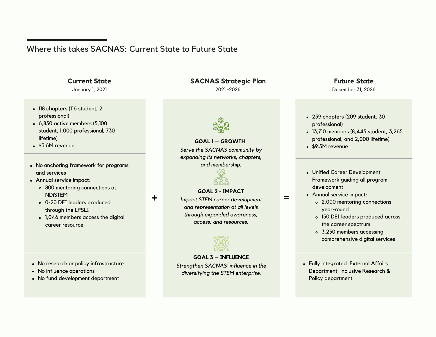### Where this takes SACNAS: Current State to Future State

**+**

### **Current State**

January 1, 2021

- 118 chapters (116 student, 2 professional)
- 6,830 active members (5,100 student, 1,000 professional, 730lifetime)
- \$3.6M revenue
- No anchoring framework for programsand services
- Annual service impact:
	- 800 mentoring connections atNDiSTEM
	- 0-20 DEI leaders producedthrough the LPSLI
	- 1,046 members access the digitalcareer resource
- No research or policy infrastructure
- No influence operations
- No fund development department

### **SACNAS Strategic Plan**

2021 -2026



### **GOAL 1 – GROWTH**

*Serve the SACNAS community by expanding its networks, chapters,and membership.*



#### **GOAL 2 - IMPACT**

 *Impact STEM career developmentand representation at all levels through expanded awareness,access, and resources.*



### **GOAL 3 – INFLUENCE**

 *Strengthen SACNAS' influence in thediversifying the STEM enterprise.*

#### **Future State**December 31, 2026

- 239 chapters (209 student, 30professional)
- 13,710 members (8,445 student, 3,265professional, and 2,000 lifetime)
- \$9.5M revenue
- Unified Career Development Framework guiding all programdevelopment
- Annual service impact:

=

- 2,000 mentoring connectionsyear-round
- 150 DEI leaders produced acrossthe career spectrum
- 3,250 members accessingcomprehensive digital services
- Fully integrated External Affairs Department, inclusive Research &Policy department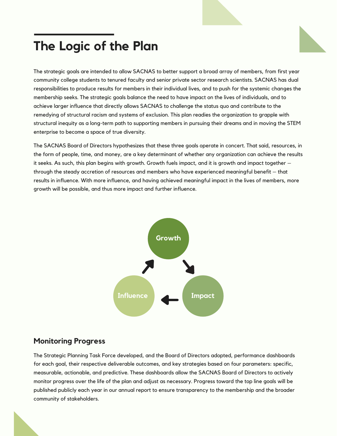### **The Logic of the Plan**

The strategic goals are intended to allow SACNAS to better support a broad array of members, from first year community college students to tenured faculty and senior private sector research scientists. SACNAS has dual responsibilities to produce results for members in their individual lives, and to push for the systemic changes the membership seeks. The strategic goals balance the need to have impact on the lives of individuals, and to achieve larger influence that directly allows SACNAS to challenge the status quo and contribute to the remedying of structural racism and systems of exclusion. This plan readies the organization to grapple with structural inequity as a long-term path to supporting members in pursuing their dreams and in moving the STEM enterprise to become a space of true diversity.

The SACNAS Board of Directors hypothesizes that these three goals operate in concert. That said, resources, in the form of people, time, and money, are a key determinant of whether any organization can achieve the results it seeks. As such, this plan begins with growth. Growth fuels impact, and it is growth and impact together – through the steady accretion of resources and members who have experienced meaningful benefit – that results in influence. With more influence, and having achieved meaningful impact in the lives of members, more growth will be possible, and thus more impact and further influence.



### **Monitoring Progress**

The Strategic Planning Task Force developed, and the Board of Directors adopted, performance dashboards for each goal, their respective deliverable outcomes, and key strategies based on four parameters: specific, measurable, actionable, and predictive. These dashboards allow the SACNAS Board of Directors to actively monitor progress over the life of the plan and adjust as necessary. Progress toward the top line goals will be published publicly each year in our annual report to ensure transparency to the membership and the broader community of stakeholders.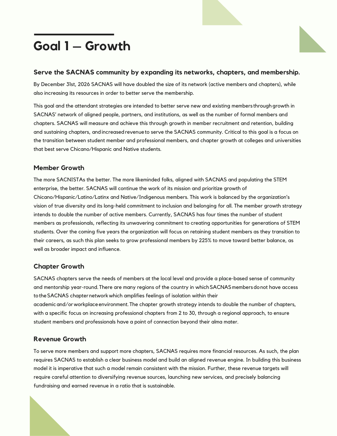### **Goal 1 – Growth**

#### **Serve the SACNAS community by expanding its networks, chapters, and membership.**

By December 31st, 2026 SACNAS will have doubled the size of its network (active members and chapters), while also increasing its resources in order to better serve the membership.

This goal and the attendant strategies are intended to better serve new and existing members through growth in SACNAS' network of aligned people, partners, and institutions, as well as the number of formal members and chapters. SACNAS will measure and achieve this through growth in member recruitment and retention, building and sustaining chapters, andincreasedrevenueto serve the SACNAS community. Critical to this goal is a focus on the transition between student member and professional members, and chapter growth at colleges and universities that best serve Chicano/Hispanic and Native students.

#### **Member Growth**

The more SACNISTAs the better. The more likeminded folks, aligned with SACNAS and populating the STEM enterprise, the better. SACNAS will continue the work of its mission and prioritize growth of Chicano/Hispanic/Latino/Latinx and Native/Indigenous members. This work is balanced by the organization's vision of true diversity and its long-held commitment to inclusion and belonging for all. The member growth strategy intends to double the number of active members. Currently, SACNAS has four times the number of student members as professionals, reflecting its unwavering commitment to creating opportunities for generations of STEM students. Over the coming five years the organization will focus on retaining student members as they transition to their careers, as such this plan seeks to grow professional members by 225% to move toward better balance, as well as broader impact and influence.

### **Chapter Growth**

SACNAS chapters serve the needs of members at the local level and provide a place-based sense of community and mentorship year-round.There are many regions of the country in whichSACNASmembersdonot have access totheSACNAS chapternetworkwhich amplifies feelings of isolation within their academicand/orworkplaceenvironment.The chapter growth strategy intends to double the number of chapters, with a specific focus on increasing professional chapters from 2 to 30, through a regional approach, to ensure student members and professionals have a point of connection beyond their alma mater.

### **Revenue Growth**

To serve more members and support more chapters, SACNAS requires more financial resources. As such, the plan requires SACNAS to establish a clear business model and build an aligned revenue engine. In building this business model it is imperative that such a model remain consistent with the mission. Further, these revenue targets will require careful attention to diversifying revenue sources, launching new services, and precisely balancing fundraising and earned revenue in a ratio that is sustainable.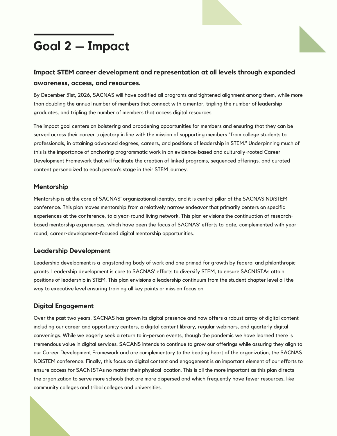### **Goal 2 – Impact**



### **Impact STEM career development and representation at all levels through expanded awareness, access, and resources.**

By December 31st, 2026, SACNAS will have codified all programs and tightened alignment among them, while more than doubling the annual number of members that connect with a mentor, tripling the number of leadership graduates, and tripling the number of members that access digital resources.

The impact goal centers on bolstering and broadening opportunities for members and ensuring that they can be served across their career trajectory in line with the mission of supporting members "from college students to professionals, in attaining advanced degrees, careers, and positions of leadership in STEM." Underpinning much of this is the importance of anchoring programmatic work in an evidence-based and culturally-rooted Career Development Framework that will facilitate the creation of linked programs, sequenced offerings, and curated content personalized to each person's stage in their STEM journey.

### **Mentorship**

Mentorship is at the core of SACNAS' organizational identity, and it is central pillar of the SACNAS NDiSTEM conference. This plan moves mentorship from a relatively narrow endeavor that primarily centers on specific experiences at the conference, to a year-round living network. This plan envisions the continuation of researchbased mentorship experiences, which have been the focus of SACNAS' efforts to-date, complemented with yearround, career-development-focused digital mentorship opportunities.

### **Leadership Development**

Leadership development is a longstanding body of work and one primed for growth by federal and philanthropic grants. Leadership development is core to SACNAS' efforts to diversify STEM, to ensure SACNISTAs attain positions of leadership in STEM. This plan envisions a leadership continuum from the student chapter level all the way to executive level ensuring training all key points or mission focus on.

### **Digital Engagement**

Over the past two years, SACNAS has grown its digital presence and now offers a robust array of digital content including our career and opportunity centers, a digital content library, regular webinars, and quarterly digital convenings. While we eagerly seek a return to in-person events, though the pandemic we have learned there is tremendous value in digital services. SACANS intends to continue to grow our offerings while assuring they align to our Career Development Framework and are complementary to the beating heart of the organization, the SACNAS NDiSTEM conference. Finally, this focus on digital content and engagement is an important element of our efforts to ensure access for SACNISTAs no matter their physical location. This is all the more important as this plan directs the organization to serve more schools that are more dispersed and which frequently have fewer resources, like community colleges and tribal colleges and universities.